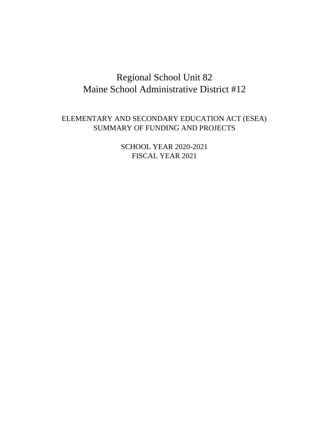# Regional School Unit 82 Maine School Administrative District #12

## ELEMENTARY AND SECONDARY EDUCATION ACT (ESEA) SUMMARY OF FUNDING AND PROJECTS

SCHOOL YEAR 2020-2021 FISCAL YEAR 2021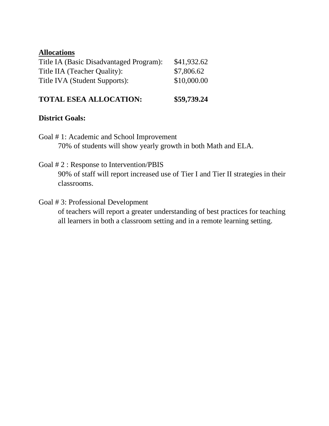| \$41,932.62 |
|-------------|
| \$7,806.62  |
| \$10,000.00 |
|             |

## **TOTAL ESEA ALLOCATION: \$59,739.24**

### **District Goals:**

- Goal # 1: Academic and School Improvement 70% of students will show yearly growth in both Math and ELA.
- Goal # 2 : Response to Intervention/PBIS

90% of staff will report increased use of Tier I and Tier II strategies in their classrooms.

Goal # 3: Professional Development

of teachers will report a greater understanding of best practices for teaching all learners in both a classroom setting and in a remote learning setting.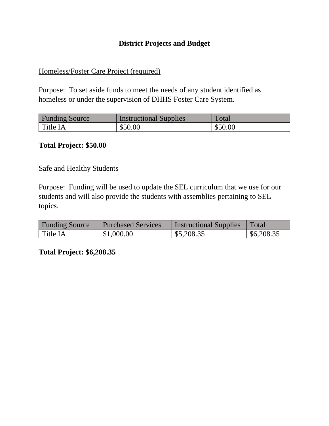### **District Projects and Budget**

#### Homeless/Foster Care Project (required)

Purpose: To set aside funds to meet the needs of any student identified as homeless or under the supervision of DHHS Foster Care System.

| <b>Funding Source</b> | <b>Instructional Supplies</b> | Total   |
|-----------------------|-------------------------------|---------|
| Title IA              | \$50.00                       | \$50.00 |

#### **Total Project: \$50.00**

#### Safe and Healthy Students

Purpose: Funding will be used to update the SEL curriculum that we use for our students and will also provide the students with assemblies pertaining to SEL topics.

| <b>Funding Source</b> | <b>Purchased Services</b> | <b>Instructional Supplies</b> | Total      |
|-----------------------|---------------------------|-------------------------------|------------|
| Title IA              | \$1,000.00                | \$5,208.35                    | \$6,208.35 |

**Total Project: \$6,208.35**